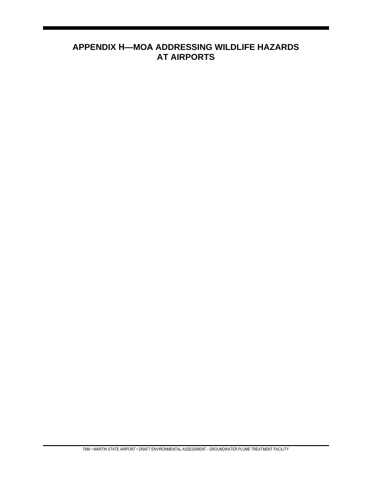# **APPENDIX H—MOA ADDRESSING WILDLIFE HAZARDS AT AIRPORTS**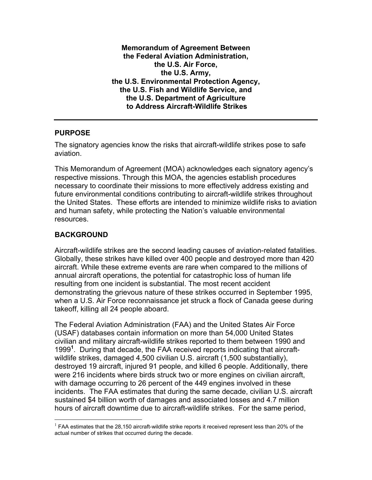**Memorandum of Agreement Between the Federal Aviation Administration, the U.S. Air Force, the U.S. Army, the U.S. Environmental Protection Agency, the U.S. Fish and Wildlife Service, and the U.S. Department of Agriculture to Address Aircraft-Wildlife Strikes** 

#### **PURPOSE**

The signatory agencies know the risks that aircraft-wildlife strikes pose to safe aviation.

This Memorandum of Agreement (MOA) acknowledges each signatory agency's respective missions. Through this MOA, the agencies establish procedures necessary to coordinate their missions to more effectively address existing and future environmental conditions contributing to aircraft-wildlife strikes throughout the United States. These efforts are intended to minimize wildlife risks to aviation and human safety, while protecting the Nation's valuable environmental resources.

## **BACKGROUND**

 $\overline{a}$ 

Aircraft-wildlife strikes are the second leading causes of aviation-related fatalities. Globally, these strikes have killed over 400 people and destroyed more than 420 aircraft. While these extreme events are rare when compared to the millions of annual aircraft operations, the potential for catastrophic loss of human life resulting from one incident is substantial. The most recent accident demonstrating the grievous nature of these strikes occurred in September 1995, when a U.S. Air Force reconnaissance jet struck a flock of Canada geese during takeoff, killing all 24 people aboard.

The Federal Aviation Administration (FAA) and the United States Air Force (USAF) databases contain information on more than 54,000 United States civilian and military aircraft-wildlife strikes reported to them between 1990 and 1999**<sup>1</sup>** . During that decade, the FAA received reports indicating that aircraftwildlife strikes, damaged 4,500 civilian U.S. aircraft (1,500 substantially), destroyed 19 aircraft, injured 91 people, and killed 6 people. Additionally, there were 216 incidents where birds struck two or more engines on civilian aircraft, with damage occurring to 26 percent of the 449 engines involved in these incidents. The FAA estimates that during the same decade, civilian U.S. aircraft sustained \$4 billion worth of damages and associated losses and 4.7 million hours of aircraft downtime due to aircraft-wildlife strikes. For the same period,

 $1$  FAA estimates that the 28,150 aircraft-wildlife strike reports it received represent less than 20% of the actual number of strikes that occurred during the decade.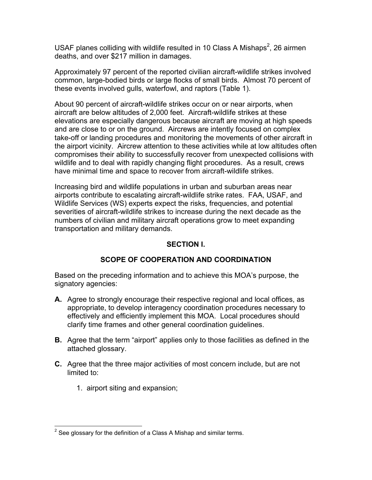USAF planes colliding with wildlife resulted in 10 Class A Mishaps<sup>2</sup>, 26 airmen deaths, and over \$217 million in damages.

Approximately 97 percent of the reported civilian aircraft-wildlife strikes involved common, large-bodied birds or large flocks of small birds. Almost 70 percent of these events involved gulls, waterfowl, and raptors (Table 1).

About 90 percent of aircraft-wildlife strikes occur on or near airports, when aircraft are below altitudes of 2,000 feet. Aircraft-wildlife strikes at these elevations are especially dangerous because aircraft are moving at high speeds and are close to or on the ground. Aircrews are intently focused on complex take-off or landing procedures and monitoring the movements of other aircraft in the airport vicinity. Aircrew attention to these activities while at low altitudes often compromises their ability to successfully recover from unexpected collisions with wildlife and to deal with rapidly changing flight procedures. As a result, crews have minimal time and space to recover from aircraft-wildlife strikes.

Increasing bird and wildlife populations in urban and suburban areas near airports contribute to escalating aircraft-wildlife strike rates. FAA, USAF, and Wildlife Services (WS) experts expect the risks, frequencies, and potential severities of aircraft-wildlife strikes to increase during the next decade as the numbers of civilian and military aircraft operations grow to meet expanding transportation and military demands.

#### **SECTION I.**

## **SCOPE OF COOPERATION AND COORDINATION**

Based on the preceding information and to achieve this MOA's purpose, the signatory agencies:

- **A.** Agree to strongly encourage their respective regional and local offices, as appropriate, to develop interagency coordination procedures necessary to effectively and efficiently implement this MOA. Local procedures should clarify time frames and other general coordination guidelines.
- **B.** Agree that the term "airport" applies only to those facilities as defined in the attached glossary.
- **C.** Agree that the three major activities of most concern include, but are not limited to:
	- 1. airport siting and expansion;

 2 See glossary for the definition of a Class A Mishap and similar terms.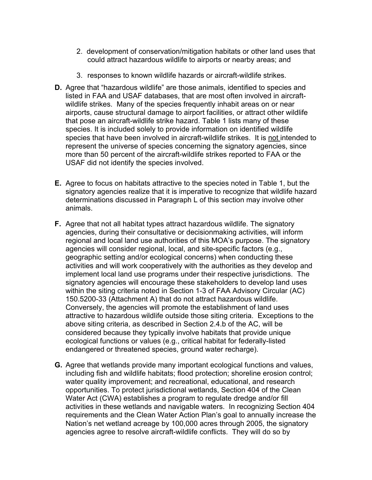- 2. development of conservation/mitigation habitats or other land uses that could attract hazardous wildlife to airports or nearby areas; and
- 3. responses to known wildlife hazards or aircraft-wildlife strikes.
- **D.** Agree that "hazardous wildlife" are those animals, identified to species and listed in FAA and USAF databases, that are most often involved in aircraftwildlife strikes. Many of the species frequently inhabit areas on or near airports, cause structural damage to airport facilities, or attract other wildlife that pose an aircraft-wildlife strike hazard. Table 1 lists many of these species. It is included solely to provide information on identified wildlife species that have been involved in aircraft-wildlife strikes. It is not intended to represent the universe of species concerning the signatory agencies, since more than 50 percent of the aircraft-wildlife strikes reported to FAA or the USAF did not identify the species involved.
- **E.** Agree to focus on habitats attractive to the species noted in Table 1, but the signatory agencies realize that it is imperative to recognize that wildlife hazard determinations discussed in Paragraph L of this section may involve other animals.
- **F.** Agree that not all habitat types attract hazardous wildlife. The signatory agencies, during their consultative or decisionmaking activities, will inform regional and local land use authorities of this MOA's purpose. The signatory agencies will consider regional, local, and site-specific factors (e.g., geographic setting and/or ecological concerns) when conducting these activities and will work cooperatively with the authorities as they develop and implement local land use programs under their respective jurisdictions. The signatory agencies will encourage these stakeholders to develop land uses within the siting criteria noted in Section 1-3 of FAA Advisory Circular (AC) 150.5200-33 (Attachment A) that do not attract hazardous wildlife. Conversely, the agencies will promote the establishment of land uses attractive to hazardous wildlife outside those siting criteria. Exceptions to the above siting criteria, as described in Section 2.4.b of the AC, will be considered because they typically involve habitats that provide unique ecological functions or values (e.g., critical habitat for federally-listed endangered or threatened species, ground water recharge).
- **G.** Agree that wetlands provide many important ecological functions and values, including fish and wildlife habitats; flood protection; shoreline erosion control; water quality improvement; and recreational, educational, and research opportunities. To protect jurisdictional wetlands, Section 404 of the Clean Water Act (CWA) establishes a program to regulate dredge and/or fill activities in these wetlands and navigable waters. In recognizing Section 404 requirements and the Clean Water Action Plan's goal to annually increase the Nation's net wetland acreage by 100,000 acres through 2005, the signatory agencies agree to resolve aircraft-wildlife conflicts. They will do so by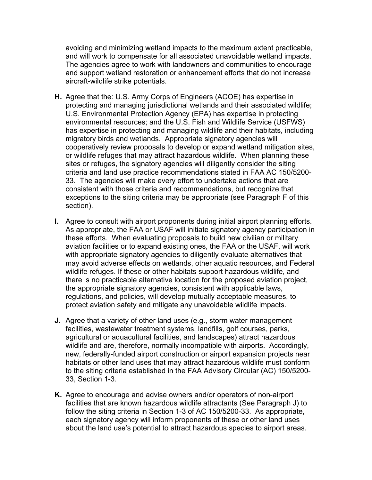avoiding and minimizing wetland impacts to the maximum extent practicable, and will work to compensate for all associated unavoidable wetland impacts. The agencies agree to work with landowners and communities to encourage and support wetland restoration or enhancement efforts that do not increase aircraft-wildlife strike potentials.

- **H.** Agree that the: U.S. Army Corps of Engineers (ACOE) has expertise in protecting and managing jurisdictional wetlands and their associated wildlife; U.S. Environmental Protection Agency (EPA) has expertise in protecting environmental resources; and the U.S. Fish and Wildlife Service (USFWS) has expertise in protecting and managing wildlife and their habitats, including migratory birds and wetlands. Appropriate signatory agencies will cooperatively review proposals to develop or expand wetland mitigation sites, or wildlife refuges that may attract hazardous wildlife. When planning these sites or refuges, the signatory agencies will diligently consider the siting criteria and land use practice recommendations stated in FAA AC 150/5200- 33. The agencies will make every effort to undertake actions that are consistent with those criteria and recommendations, but recognize that exceptions to the siting criteria may be appropriate (see Paragraph F of this section).
- **I.** Agree to consult with airport proponents during initial airport planning efforts. As appropriate, the FAA or USAF will initiate signatory agency participation in these efforts. When evaluating proposals to build new civilian or military aviation facilities or to expand existing ones, the FAA or the USAF, will work with appropriate signatory agencies to diligently evaluate alternatives that may avoid adverse effects on wetlands, other aquatic resources, and Federal wildlife refuges. If these or other habitats support hazardous wildlife, and there is no practicable alternative location for the proposed aviation project, the appropriate signatory agencies, consistent with applicable laws, regulations, and policies, will develop mutually acceptable measures, to protect aviation safety and mitigate any unavoidable wildlife impacts.
- **J.** Agree that a variety of other land uses (e.g., storm water management facilities, wastewater treatment systems, landfills, golf courses, parks, agricultural or aquacultural facilities, and landscapes) attract hazardous wildlife and are, therefore, normally incompatible with airports. Accordingly, new, federally-funded airport construction or airport expansion projects near habitats or other land uses that may attract hazardous wildlife must conform to the siting criteria established in the FAA Advisory Circular (AC) 150/5200- 33, Section 1-3.
- **K.** Agree to encourage and advise owners and/or operators of non-airport facilities that are known hazardous wildlife attractants (See Paragraph J) to follow the siting criteria in Section 1-3 of AC 150/5200-33. As appropriate, each signatory agency will inform proponents of these or other land uses about the land use's potential to attract hazardous species to airport areas.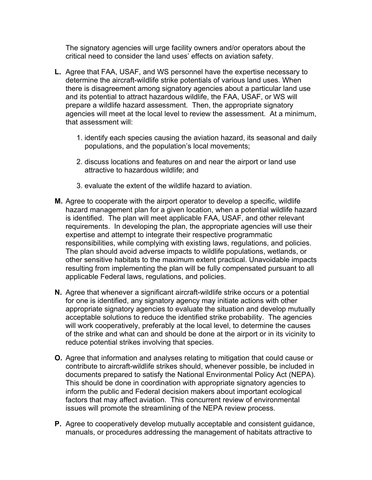The signatory agencies will urge facility owners and/or operators about the critical need to consider the land uses' effects on aviation safety.

- **L.** Agree that FAA, USAF, and WS personnel have the expertise necessary to determine the aircraft-wildlife strike potentials of various land uses. When there is disagreement among signatory agencies about a particular land use and its potential to attract hazardous wildlife, the FAA, USAF, or WS will prepare a wildlife hazard assessment. Then, the appropriate signatory agencies will meet at the local level to review the assessment. At a minimum, that assessment will:
	- 1. identify each species causing the aviation hazard, its seasonal and daily populations, and the population's local movements;
	- 2. discuss locations and features on and near the airport or land use attractive to hazardous wildlife; and
	- 3. evaluate the extent of the wildlife hazard to aviation.
- **M.** Agree to cooperate with the airport operator to develop a specific, wildlife hazard management plan for a given location, when a potential wildlife hazard is identified. The plan will meet applicable FAA, USAF, and other relevant requirements. In developing the plan, the appropriate agencies will use their expertise and attempt to integrate their respective programmatic responsibilities, while complying with existing laws, regulations, and policies. The plan should avoid adverse impacts to wildlife populations, wetlands, or other sensitive habitats to the maximum extent practical. Unavoidable impacts resulting from implementing the plan will be fully compensated pursuant to all applicable Federal laws, regulations, and policies.
- **N.** Agree that whenever a significant aircraft-wildlife strike occurs or a potential for one is identified, any signatory agency may initiate actions with other appropriate signatory agencies to evaluate the situation and develop mutually acceptable solutions to reduce the identified strike probability. The agencies will work cooperatively, preferably at the local level, to determine the causes of the strike and what can and should be done at the airport or in its vicinity to reduce potential strikes involving that species.
- **O.** Agree that information and analyses relating to mitigation that could cause or contribute to aircraft-wildlife strikes should, whenever possible, be included in documents prepared to satisfy the National Environmental Policy Act (NEPA). This should be done in coordination with appropriate signatory agencies to inform the public and Federal decision makers about important ecological factors that may affect aviation. This concurrent review of environmental issues will promote the streamlining of the NEPA review process.
- **P.** Agree to cooperatively develop mutually acceptable and consistent guidance, manuals, or procedures addressing the management of habitats attractive to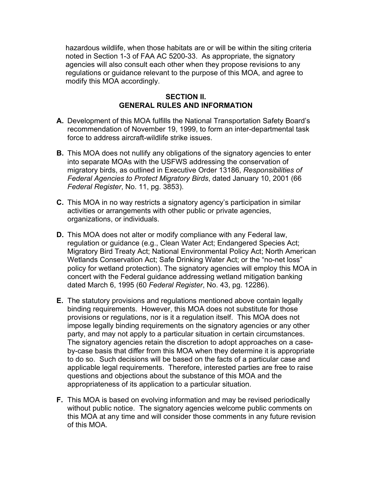hazardous wildlife, when those habitats are or will be within the siting criteria noted in Section 1-3 of FAA AC 5200-33. As appropriate, the signatory agencies will also consult each other when they propose revisions to any regulations or guidance relevant to the purpose of this MOA, and agree to modify this MOA accordingly.

#### **SECTION II. GENERAL RULES AND INFORMATION**

- **A.** Development of this MOA fulfills the National Transportation Safety Board's recommendation of November 19, 1999, to form an inter-departmental task force to address aircraft-wildlife strike issues.
- **B.** This MOA does not nullify any obligations of the signatory agencies to enter into separate MOAs with the USFWS addressing the conservation of migratory birds, as outlined in Executive Order 13186, *Responsibilities of Federal Agencies to Protect Migratory Birds*, dated January 10, 2001 (66 *Federal Register*, No. 11, pg. 3853).
- **C.** This MOA in no way restricts a signatory agency's participation in similar activities or arrangements with other public or private agencies, organizations, or individuals.
- **D.** This MOA does not alter or modify compliance with any Federal law, regulation or guidance (e.g., Clean Water Act; Endangered Species Act; Migratory Bird Treaty Act; National Environmental Policy Act; North American Wetlands Conservation Act; Safe Drinking Water Act; or the "no-net loss" policy for wetland protection). The signatory agencies will employ this MOA in concert with the Federal guidance addressing wetland mitigation banking dated March 6, 1995 (60 *Federal Register*, No. 43, pg. 12286).
- **E.** The statutory provisions and regulations mentioned above contain legally binding requirements. However, this MOA does not substitute for those provisions or regulations, nor is it a regulation itself. This MOA does not impose legally binding requirements on the signatory agencies or any other party, and may not apply to a particular situation in certain circumstances. The signatory agencies retain the discretion to adopt approaches on a caseby-case basis that differ from this MOA when they determine it is appropriate to do so. Such decisions will be based on the facts of a particular case and applicable legal requirements. Therefore, interested parties are free to raise questions and objections about the substance of this MOA and the appropriateness of its application to a particular situation.
- **F.** This MOA is based on evolving information and may be revised periodically without public notice. The signatory agencies welcome public comments on this MOA at any time and will consider those comments in any future revision of this MOA.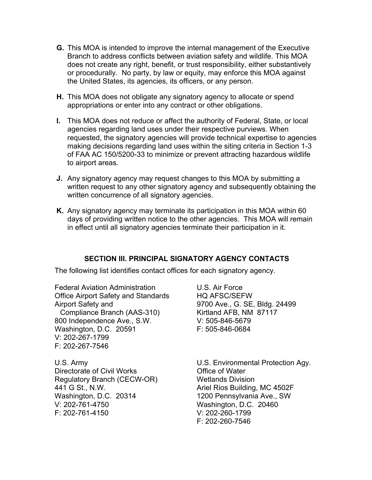- **G.** This MOA is intended to improve the internal management of the Executive Branch to address conflicts between aviation safety and wildlife. This MOA does not create any right, benefit, or trust responsibility, either substantively or procedurally. No party, by law or equity, may enforce this MOA against the United States, its agencies, its officers, or any person.
- **H.** This MOA does not obligate any signatory agency to allocate or spend appropriations or enter into any contract or other obligations.
- **I.** This MOA does not reduce or affect the authority of Federal, State, or local agencies regarding land uses under their respective purviews. When requested, the signatory agencies will provide technical expertise to agencies making decisions regarding land uses within the siting criteria in Section 1-3 of FAA AC 150/5200-33 to minimize or prevent attracting hazardous wildlife to airport areas.
- **J.** Any signatory agency may request changes to this MOA by submitting a written request to any other signatory agency and subsequently obtaining the written concurrence of all signatory agencies.
- **K.** Any signatory agency may terminate its participation in this MOA within 60 days of providing written notice to the other agencies. This MOA will remain in effect until all signatory agencies terminate their participation in it.

## **SECTION III. PRINCIPAL SIGNATORY AGENCY CONTACTS**

The following list identifies contact offices for each signatory agency.

Federal Aviation Administration **U.S. Air Force** Office Airport Safety and Standards HQ AFSC/SEFW Airport Safety and **1988** 9700 Ave., G. SE, Bldg. 24499 Compliance Branch (AAS-310) Kirtland AFB, NM 87117 800 Independence Ave., S.W. V: 505-846-5679 Washington, D.C. 20591 F: 505-846-0684 V: 202-267-1799 F: 202-267-7546

Directorate of Civil Works **Conservation** Office of Water Regulatory Branch (CECW-OR) Wetlands Division 441 G St., N.W. **Ariel Rios Building, MC 4502F** Washington, D.C. 20314 1200 Pennsylvania Ave., SW V: 202-761-4750 Washington, D.C. 20460 F: 202-761-4150 V: 202-260-1799

U.S. Army U.S. Environmental Protection Agy. F: 202-260-7546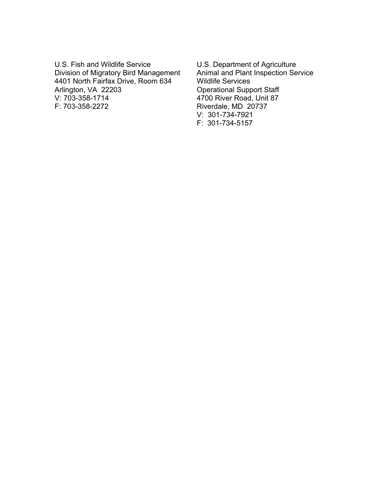U.S. Fish and Wildlife Service U.S. Department of Agriculture<br>Division of Migratory Bird Management Animal and Plant Inspection Service Division of Migratory Bird Management Animal and Plant 4401 North Fairfax Drive, Room 634 Wildlife Services 4401 North Fairfax Drive, Room 634<br>Arlington, VA 22203 Arlington, VA 22203 Operational Support Staff<br>
V: 703-358-1714 4700 River Road, Unit 87 F: 703-358-2272 Riverdale, MD 20737

4700 River Road, Unit 87 V: 301-734-7921 F: 301-734-5157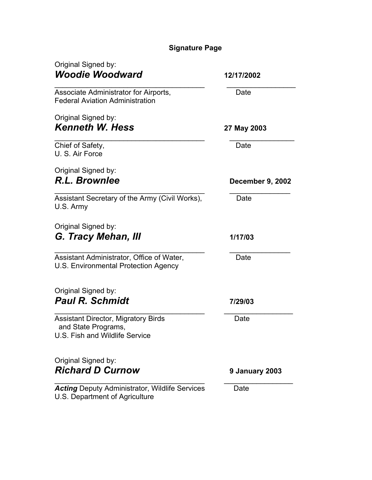# **Signature Page**

| Original Signed by:<br><b>Woodie Woodward</b>                                                       | 12/17/2002              |
|-----------------------------------------------------------------------------------------------------|-------------------------|
| Associate Administrator for Airports,<br><b>Federal Aviation Administration</b>                     | Date                    |
| Original Signed by:<br><b>Kenneth W. Hess</b>                                                       | 27 May 2003             |
| Chief of Safety,<br>U. S. Air Force                                                                 | Date                    |
| Original Signed by:<br>R.L. Brownlee                                                                | <b>December 9, 2002</b> |
| Assistant Secretary of the Army (Civil Works),<br>U.S. Army                                         | Date                    |
| Original Signed by:<br>G. Tracy Mehan, III                                                          | 1/17/03                 |
| Assistant Administrator, Office of Water,<br>U.S. Environmental Protection Agency                   | Date                    |
| Original Signed by:<br><b>Paul R. Schmidt</b>                                                       | 7/29/03                 |
| <b>Assistant Director, Migratory Birds</b><br>and State Programs,<br>U.S. Fish and Wildlife Service | Date                    |
| Original Signed by:<br><b>Richard D Curnow</b>                                                      | 9 January 2003          |
| <b>Acting Deputy Administrator, Wildlife Services</b><br>U.S. Department of Agriculture             | Date                    |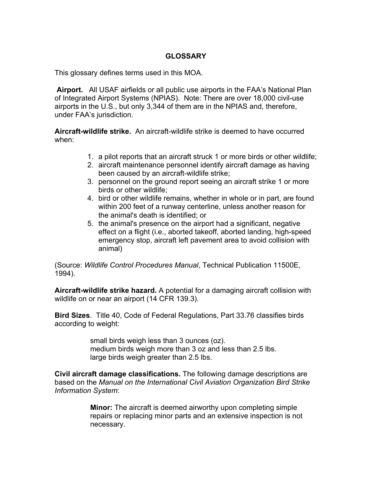## **GLOSSARY**

This glossary defines terms used in this MOA.

 **Airport.** All USAF airfields or all public use airports in the FAA's National Plan of Integrated Airport Systems (NPIAS). Note: There are over 18,000 civil-use airports in the U.S., but only 3,344 of them are in the NPIAS and, therefore, under FAA's jurisdiction.

**Aircraft-wildlife strike.** An aircraft-wildlife strike is deemed to have occurred when:

- 1. a pilot reports that an aircraft struck 1 or more birds or other wildlife;
- 2. aircraft maintenance personnel identify aircraft damage as having been caused by an aircraft-wildlife strike;
- 3. personnel on the ground report seeing an aircraft strike 1 or more birds or other wildlife;
- 4. bird or other wildlife remains, whether in whole or in part, are found within 200 feet of a runway centerline, unless another reason for the animal's death is identified; or
- 5. the animal's presence on the airport had a significant, negative effect on a flight (i.e., aborted takeoff, aborted landing, high-speed emergency stop, aircraft left pavement area to avoid collision with animal)

(Source: *Wildlife Control Procedures Manual*, Technical Publication 11500E, 1994).

**Aircraft-wildlife strike hazard.** A potential for a damaging aircraft collision with wildlife on or near an airport (14 CFR 139.3).

**Bird Sizes**. Title 40, Code of Federal Regulations, Part 33.76 classifies birds according to weight:

> small birds weigh less than 3 ounces (oz). medium birds weigh more than 3 oz and less than 2.5 lbs. large birds weigh greater than 2.5 lbs.

**Civil aircraft damage classifications.** The following damage descriptions are based on the *Manual on the International Civil Aviation Organization Bird Strike Information System*:

> **Minor:** The aircraft is deemed airworthy upon completing simple repairs or replacing minor parts and an extensive inspection is not necessary.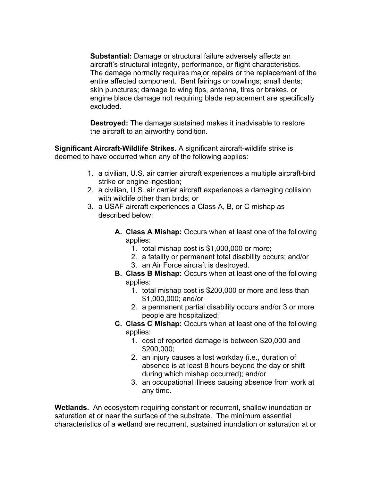**Substantial:** Damage or structural failure adversely affects an aircraft's structural integrity, performance, or flight characteristics. The damage normally requires major repairs or the replacement of the entire affected component. Bent fairings or cowlings; small dents; skin punctures; damage to wing tips, antenna, tires or brakes, or engine blade damage not requiring blade replacement are specifically excluded.

**Destroyed:** The damage sustained makes it inadvisable to restore the aircraft to an airworthy condition.

**Significant Aircraft-Wildlife Strikes**. A significant aircraft-wildlife strike is deemed to have occurred when any of the following applies:

- 1. a civilian, U.S. air carrier aircraft experiences a multiple aircraft-bird strike or engine ingestion;
- 2. a civilian, U.S. air carrier aircraft experiences a damaging collision with wildlife other than birds; or
- 3. a USAF aircraft experiences a Class A, B, or C mishap as described below:
	- **A. Class A Mishap:** Occurs when at least one of the following applies:
		- 1. total mishap cost is \$1,000,000 or more;
		- 2. a fatality or permanent total disability occurs; and/or
		- 3. an Air Force aircraft is destroyed.
	- **B. Class B Mishap:** Occurs when at least one of the following applies:
		- 1. total mishap cost is \$200,000 or more and less than \$1,000,000; and/or
		- 2. a permanent partial disability occurs and/or 3 or more people are hospitalized;
	- **C. Class C Mishap:** Occurs when at least one of the following applies:
		- 1. cost of reported damage is between \$20,000 and \$200,000;
		- 2. an injury causes a lost workday (i.e., duration of absence is at least 8 hours beyond the day or shift during which mishap occurred); and/or
		- 3. an occupational illness causing absence from work at any time.

**Wetlands.** An ecosystem requiring constant or recurrent, shallow inundation or saturation at or near the surface of the substrate. The minimum essential characteristics of a wetland are recurrent, sustained inundation or saturation at or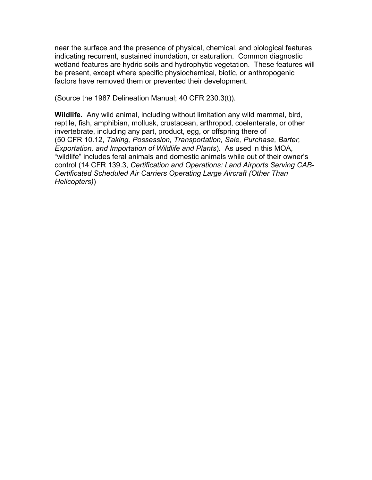near the surface and the presence of physical, chemical, and biological features indicating recurrent, sustained inundation, or saturation. Common diagnostic wetland features are hydric soils and hydrophytic vegetation. These features will be present, except where specific physiochemical, biotic, or anthropogenic factors have removed them or prevented their development.

(Source the 1987 Delineation Manual; 40 CFR 230.3(t)).

**Wildlife.** Any wild animal, including without limitation any wild mammal, bird, reptile, fish, amphibian, mollusk, crustacean, arthropod, coelenterate, or other invertebrate, including any part, product, egg, or offspring there of (50 CFR 10.12, *Taking, Possession, Transportation, Sale, Purchase, Barter, Exportation, and Importation of Wildlife and Plants*). As used in this MOA, "wildlife" includes feral animals and domestic animals while out of their owner's control (14 CFR 139.3, *Certification and Operations: Land Airports Serving CAB-Certificated Scheduled Air Carriers Operating Large Aircraft (Other Than Helicopters)*)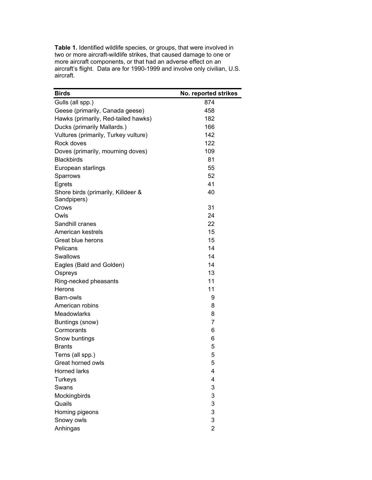**Table 1.** Identified wildlife species, or groups, that were involved in two or more aircraft-wildlife strikes, that caused damage to one or more aircraft components, or that had an adverse effect on an aircraft's flight. Data are for 1990-1999 and involve only civilian, U.S. aircraft.

| <b>Birds</b>                                      | No. reported strikes |
|---------------------------------------------------|----------------------|
| Gulls (all spp.)                                  | 874                  |
| Geese (primarily, Canada geese)                   | 458                  |
| Hawks (primarily, Red-tailed hawks)               | 182                  |
| Ducks (primarily Mallards.)                       | 166                  |
| Vultures (primarily, Turkey vulture)              | 142                  |
| Rock doves                                        | 122                  |
| Doves (primarily, mourning doves)                 | 109                  |
| <b>Blackbirds</b>                                 | 81                   |
| European starlings                                | 55                   |
| Sparrows                                          | 52                   |
| Egrets                                            | 41                   |
| Shore birds (primarily, Killdeer &<br>Sandpipers) | 40                   |
| Crows                                             | 31                   |
| Owls                                              | 24                   |
| Sandhill cranes                                   | 22                   |
| American kestrels                                 | 15                   |
| Great blue herons                                 | 15                   |
| Pelicans                                          | 14                   |
| Swallows                                          | 14                   |
| Eagles (Bald and Golden)                          | 14                   |
| Ospreys                                           | 13                   |
| Ring-necked pheasants                             | 11                   |
| Herons                                            | 11                   |
| Barn-owls                                         | 9                    |
| American robins                                   | 8                    |
| Meadowlarks                                       | 8                    |
| Buntings (snow)                                   | 7                    |
| Cormorants                                        | 6                    |
| Snow buntings                                     | 6                    |
| <b>Brants</b>                                     | 5                    |
| Terns (all spp.)                                  | 5                    |
| Great horned owls                                 | 5                    |
| <b>Horned larks</b>                               | 4                    |
| <b>Turkeys</b>                                    | 4                    |
| Swans                                             | 3                    |
| Mockingbirds                                      | 3                    |
| Quails                                            | 3                    |
| Homing pigeons                                    | 3                    |
| Snowy owls                                        | 3                    |
| Anhingas                                          | $\overline{2}$       |